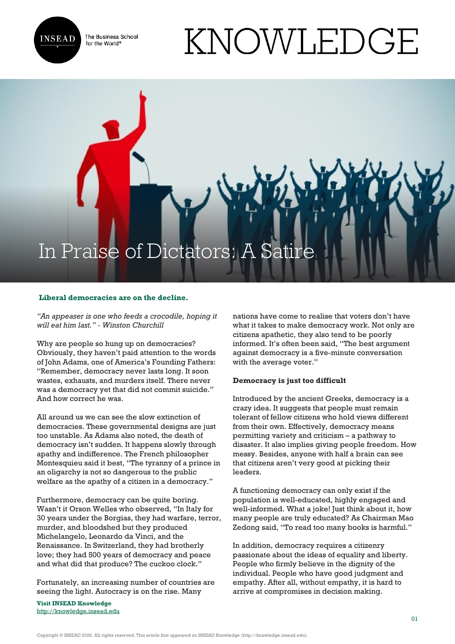The Business School for the World<sup>®</sup>



# KNOWLEDGE

# In Praise of Dictators: A

### **Liberal democracies are on the decline.**

*"An appeaser is one who feeds a crocodile, hoping it will eat him last." - Winston Churchill*

Why are people so hung up on democracies? Obviously, they haven't paid attention to the words of John Adams, one of America's Founding Fathers: "Remember, democracy never lasts long. It soon wastes, exhausts, and murders itself. There never was a democracy yet that did not commit suicide." And how correct he was.

All around us we can see the slow extinction of democracies. These governmental designs are just too unstable. As Adams also noted, the death of democracy isn't sudden. It happens slowly through apathy and indifference. The French philosopher Montesquieu said it best, "The tyranny of a prince in an oligarchy is not so dangerous to the public welfare as the apathy of a citizen in a democracy."

Furthermore, democracy can be quite boring. Wasn't it Orson Welles who observed, "In Italy for 30 years under the Borgias, they had warfare, terror, murder, and bloodshed but they produced Michelangelo, Leonardo da Vinci, and the Renaissance. In Switzerland, they had brotherly love; they had 500 years of democracy and peace and what did that produce? The cuckoo clock."

Fortunately, an increasing number of countries are seeing the light. Autocracy is on the rise. Many

**Visit INSEAD Knowledge** <http://knowledge.insead.edu> nations have come to realise that voters don't have what it takes to make democracy work. Not only are citizens apathetic, they also tend to be poorly informed. It's often been said, "The best argument against democracy is a five-minute conversation with the average voter."

#### **Democracy is just too difficult**

Introduced by the ancient Greeks, democracy is a crazy idea. It suggests that people must remain tolerant of fellow citizens who hold views different from their own. Effectively, democracy means permitting variety and criticism – a pathway to disaster. It also implies giving people freedom. How messy. Besides, anyone with half a brain can see that citizens aren't very good at picking their leaders.

A functioning democracy can only exist if the population is well-educated, highly engaged and well-informed. What a joke! Just think about it, how many people are truly educated? As Chairman Mao Zedong said, "To read too many books is harmful."

In addition, democracy requires a citizenry passionate about the ideas of equality and liberty. People who firmly believe in the dignity of the individual. People who have good judgment and empathy. After all, without empathy, it is hard to arrive at compromises in decision making.

Copyright © INSEAD 2022. All rights reserved. This article first appeared on INSEAD Knowledge (http://knowledge.insead.edu).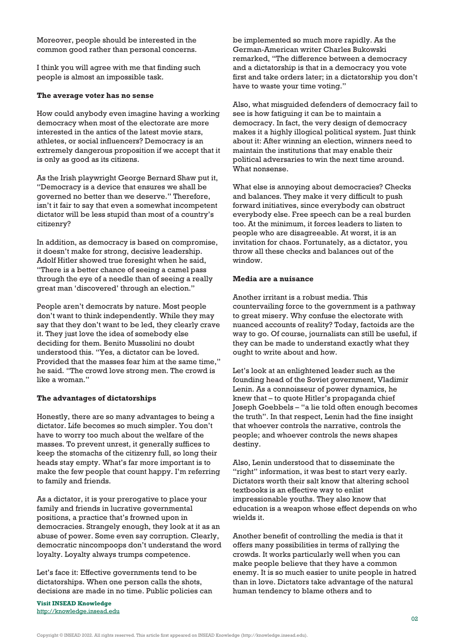Moreover, people should be interested in the common good rather than personal concerns.

I think you will agree with me that finding such people is almost an impossible task.

#### **The average voter has no sense**

How could anybody even imagine having a working democracy when most of the electorate are more interested in the antics of the latest movie stars, athletes, or social influencers? Democracy is an extremely dangerous proposition if we accept that it is only as good as its citizens.

As the Irish playwright George Bernard Shaw put it, "Democracy is a device that ensures we shall be governed no better than we deserve." Therefore, isn't it fair to say that even a somewhat incompetent dictator will be less stupid than most of a country's citizenry?

In addition, as democracy is based on compromise, it doesn't make for strong, decisive leadership. Adolf Hitler showed true foresight when he said, "There is a better chance of seeing a camel pass through the eye of a needle than of seeing a really great man 'discovered' through an election."

People aren't democrats by nature. Most people don't want to think independently. While they may say that they don't want to be led, they clearly crave it. They just love the idea of somebody else deciding for them. Benito Mussolini no doubt understood this. "Yes, a dictator can be loved. Provided that the masses fear him at the same time," he said. "The crowd love strong men. The crowd is like a woman."

#### **The advantages of dictatorships**

Honestly, there are so many advantages to being a dictator. Life becomes so much simpler. You don't have to worry too much about the welfare of the masses. To prevent unrest, it generally suffices to keep the stomachs of the citizenry full, so long their heads stay empty. What's far more important is to make the few people that count happy. I'm referring to family and friends.

As a dictator, it is your prerogative to place your family and friends in lucrative governmental positions, a practice that's frowned upon in democracies. Strangely enough, they look at it as an abuse of power. Some even say corruption. Clearly, democratic nincompoops don't understand the word loyalty. Loyalty always trumps competence.

Let's face it: Effective governments tend to be dictatorships. When one person calls the shots, decisions are made in no time. Public policies can

**Visit INSEAD Knowledge** <http://knowledge.insead.edu> be implemented so much more rapidly. As the German-American writer Charles Bukowski remarked, "The difference between a democracy and a dictatorship is that in a democracy you vote first and take orders later; in a dictatorship you don't have to waste your time voting."

Also, what misguided defenders of democracy fail to see is how fatiguing it can be to maintain a democracy. In fact, the very design of democracy makes it a highly illogical political system. Just think about it: After winning an election, winners need to maintain the institutions that may enable their political adversaries to win the next time around. What nonsense.

What else is annoying about democracies? Checks and balances. They make it very difficult to push forward initiatives, since everybody can obstruct everybody else. Free speech can be a real burden too. At the minimum, it forces leaders to listen to people who are disagreeable. At worst, it is an invitation for chaos. Fortunately, as a dictator, you throw all these checks and balances out of the window.

#### **Media are a nuisance**

Another irritant is a robust media. This countervailing force to the government is a pathway to great misery. Why confuse the electorate with nuanced accounts of reality? Today, factoids are the way to go. Of course, journalists can still be useful, if they can be made to understand exactly what they ought to write about and how.

Let's look at an enlightened leader such as the founding head of the Soviet government, Vladimir Lenin. As a connoisseur of power dynamics, he knew that – to quote Hitler's propaganda chief Joseph Goebbels – "a lie told often enough becomes the truth". In that respect, Lenin had the fine insight that whoever controls the narrative, controls the people; and whoever controls the news shapes destiny.

Also, Lenin understood that to disseminate the "right" information, it was best to start very early. Dictators worth their salt know that altering school textbooks is an effective way to enlist impressionable youths. They also know that education is a weapon whose effect depends on who wields it.

Another benefit of controlling the media is that it offers many possibilities in terms of rallying the crowds. It works particularly well when you can make people believe that they have a common enemy. It is so much easier to unite people in hatred than in love. Dictators take advantage of the natural human tendency to blame others and to

Copyright © INSEAD 2022. All rights reserved. This article first appeared on INSEAD Knowledge (http://knowledge.insead.edu).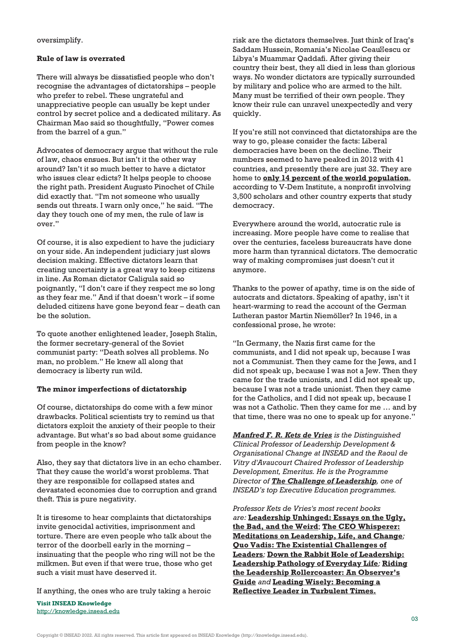oversimplify.

### **Rule of law is overrated**

There will always be dissatisfied people who don't recognise the advantages of dictatorships – people who prefer to rebel. These ungrateful and unappreciative people can usually be kept under control by secret police and a dedicated military. As Chairman Mao said so thoughtfully, "Power comes from the barrel of a gun."

Advocates of democracy argue that without the rule of law, chaos ensues. But isn't it the other way around? Isn't it so much better to have a dictator who issues clear edicts? It helps people to choose the right path. President Augusto Pinochet of Chile did exactly that. "I'm not someone who usually sends out threats. I warn only once," he said. "The day they touch one of my men, the rule of law is over."

Of course, it is also expedient to have the judiciary on your side. An independent judiciary just slows decision making. Effective dictators learn that creating uncertainty is a great way to keep citizens in line. As Roman dictator Caligula said so poignantly, "I don't care if they respect me so long as they fear me." And if that doesn't work – if some deluded citizens have gone beyond fear – death can be the solution.

To quote another enlightened leader, Joseph Stalin, the former secretary-general of the Soviet communist party: "Death solves all problems. No man, no problem." He knew all along that democracy is liberty run wild.

## **The minor imperfections of dictatorship**

Of course, dictatorships do come with a few minor drawbacks. Political scientists try to remind us that dictators exploit the anxiety of their people to their advantage. But what's so bad about some guidance from people in the know?

Also, they say that dictators live in an echo chamber. That they cause the world's worst problems. That they are responsible for collapsed states and devastated economies due to corruption and grand theft. This is pure negativity.

It is tiresome to hear complaints that dictatorships invite genocidal activities, imprisonment and torture. There are even people who talk about the terror of the doorbell early in the morning – insinuating that the people who ring will not be the milkmen. But even if that were true, those who get such a visit must have deserved it.

If anything, the ones who are truly taking a heroic

**Visit INSEAD Knowledge** <http://knowledge.insead.edu> risk are the dictators themselves. Just think of Iraq's Saddam Hussein, Romania's Nicolae Ceau<sub></sub> escu or Libya's Muammar Qaddafi. After giving their country their best, they all died in less than glorious ways. No wonder dictators are typically surrounded by military and police who are armed to the hilt. Many must be terrified of their own people. They know their rule can unravel unexpectedly and very quickly.

If you're still not convinced that dictatorships are the way to go, please consider the facts: Liberal democracies have been on the decline. Their numbers seemed to have peaked in 2012 with 41 countries, and presently there are just 32. They are home to **[only 14 percent of the world population](https://www.v-dem.net/static/website/files/dr/dr_2021.pdf)**, according to V-Dem Institute, a nonprofit involving 3,500 scholars and other country experts that study democracy.

Everywhere around the world, autocratic rule is increasing. More people have come to realise that over the centuries, faceless bureaucrats have done more harm than tyrannical dictators. The democratic way of making compromises just doesn't cut it anymore.

Thanks to the power of apathy, time is on the side of autocrats and dictators. Speaking of apathy, isn't it heart-warming to read the account of the German Lutheran pastor Martin Niemöller? In 1946, in a confessional prose, he wrote:

"In Germany, the Nazis first came for the communists, and I did not speak up, because I was not a Communist. Then they came for the Jews, and I did not speak up, because I was not a Jew. Then they came for the trade unionists, and I did not speak up, because I was not a trade unionist. Then they came for the Catholics, and I did not speak up, because I was not a Catholic. Then they came for me … and by that time, there was no one to speak up for anyone."

*[Manfred F. R. Kets de Vries](https://www.insead.edu/faculty-research/faculty/manfred-f-r-kets-de-vries) is the Distinguished Clinical Professor of Leadership Development & Organisational Change at INSEAD and the Raoul de Vitry d'Avaucourt Chaired Professor of Leadership Development, Emeritus. He is the Programme Director of [The Challenge of Leadership](http://executive-education.insead.edu/challenge_leadership), one of INSEAD's top Executive Education programmes.*

*Professor Kets de Vries's most recent books are:* **[Leadership Unhinged: Essays on the Ugly,](https://www.palgrave.com/gp/book/9783030793449) [the Bad, and the Weird](https://www.palgrave.com/gp/book/9783030793449)**; **[The CEO Whisperer:](https://www.amazon.com/dp/3030626008/) [Meditations on Leadership, Life, and Change](https://www.amazon.com/dp/3030626008/)***;*  **[Quo Vadis: The Existential Challenges of](https://www.amazon.com/dp/B08YRDMT8J/ref=cm_sw_em_r_mt_dp_P12R2V3WG2K1JS50G70D) [Leaders](https://www.amazon.com/dp/B08YRDMT8J/ref=cm_sw_em_r_mt_dp_P12R2V3WG2K1JS50G70D)***;* **[Down the Rabbit Hole of Leadership:](https://www.amazon.co.uk/Down-Rabbit-Hole-Leadership-Pathology/dp/3319924613) [Leadership Pathology of Everyday Life](https://www.amazon.co.uk/Down-Rabbit-Hole-Leadership-Pathology/dp/3319924613)***;* **[Riding](https://www.amazon.com/Riding-Leadership-Rollercoaster-observers-guide/dp/3319451618) [the Leadership Rollercoaster: An Observer's](https://www.amazon.com/Riding-Leadership-Rollercoaster-observers-guide/dp/3319451618) [Guide](https://www.amazon.com/Riding-Leadership-Rollercoaster-observers-guide/dp/3319451618)** *and* **[Leading Wisely: Becoming a](https://www.amazon.com/Leading-Wisely-Becoming-Reflective-Turbulent/dp/1119860393) [Reflective Leader in Turbulent Times](https://www.amazon.com/Leading-Wisely-Becoming-Reflective-Turbulent/dp/1119860393)***.*

Copyright © INSEAD 2022. All rights reserved. This article first appeared on INSEAD Knowledge (http://knowledge.insead.edu).